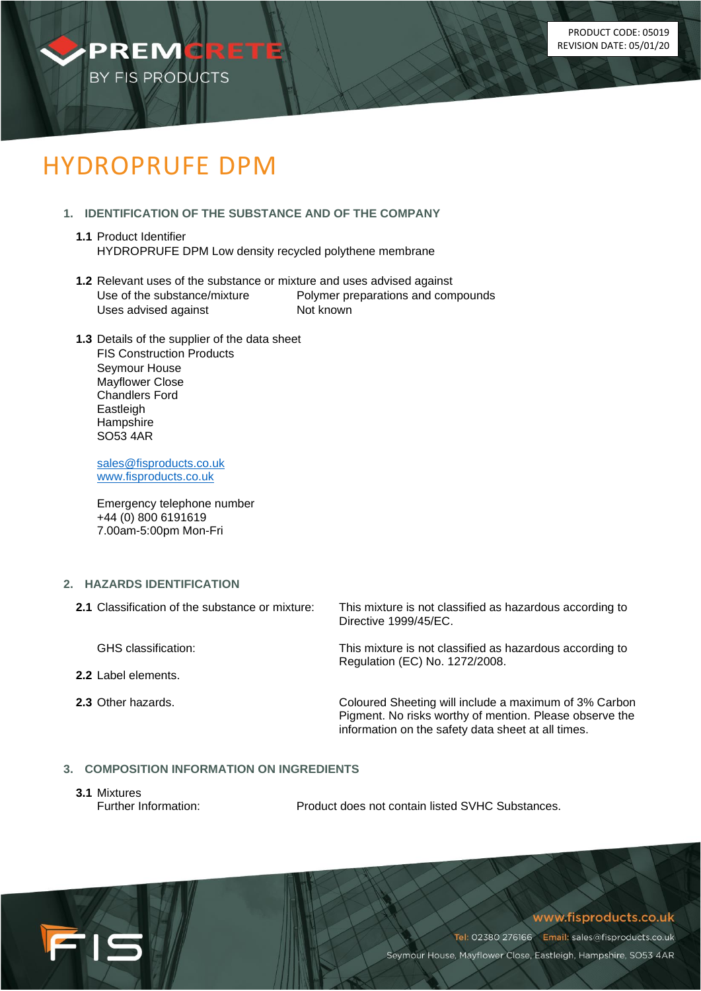

# HYDROPRUFE DPM

- **1. IDENTIFICATION OF THE SUBSTANCE AND OF THE COMPANY**
	- **1.1** Product Identifier HYDROPRUFE DPM Low density recycled polythene membrane
	- **1.2** Relevant uses of the substance or mixture and uses advised against<br>Use of the substance/mixture Polymer preparations and com Polymer preparations and compounds Uses advised against Not known
	- **1.3** Details of the supplier of the data sheet FIS Construction Products Seymour House Mayflower Close Chandlers Ford Eastleigh **Hampshire** SO53 4AR

[sales@fisproducts.co.uk](mailto:Sales@premcrete.com) [www.fisproducts.co.uk](http://www.premcrete.com/)

Emergency telephone number +44 (0) 800 6191619 7.00am-5:00pm Mon-Fri

# **2. HAZARDS IDENTIFICATION**

- **2.2** Label elements.
- 

**2.1** Classification of the substance or mixture: This mixture is not classified as hazardous according to Directive 1999/45/EC.

GHS classification: This mixture is not classified as hazardous according to Regulation (EC) No. 1272/2008.

**2.3** Other hazards. **2.3** Other hazards. Coloured Sheeting will include a maximum of 3% Carbon Pigment. No risks worthy of mention. Please observe the information on the safety data sheet at all times.

# **3. COMPOSITION INFORMATION ON INGREDIENTS**

**3.1** Mixtures

715

Further Information: Product does not contain listed SVHC Substances.

www.fisproducts.co.uk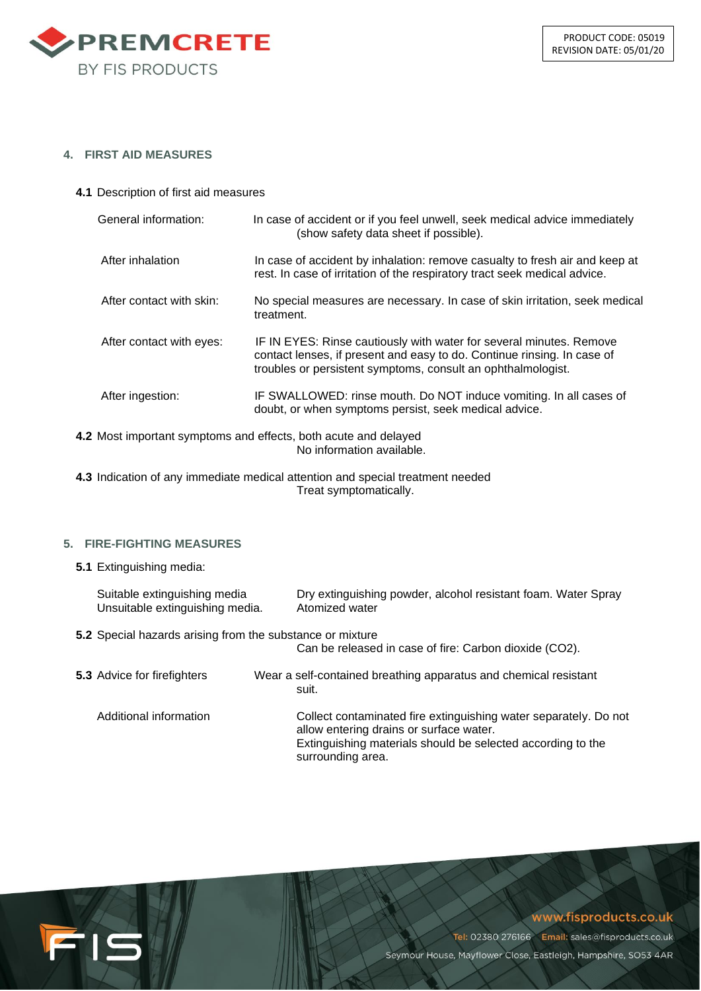

### **4. FIRST AID MEASURES**

**4.1** Description of first aid measures

| General information:                                                                         | In case of accident or if you feel unwell, seek medical advice immediately<br>(show safety data sheet if possible).                                                                                            |  |
|----------------------------------------------------------------------------------------------|----------------------------------------------------------------------------------------------------------------------------------------------------------------------------------------------------------------|--|
| After inhalation                                                                             | In case of accident by inhalation: remove casualty to fresh air and keep at<br>rest. In case of irritation of the respiratory tract seek medical advice.                                                       |  |
| After contact with skin:                                                                     | No special measures are necessary. In case of skin irritation, seek medical<br>treatment.                                                                                                                      |  |
| After contact with eyes:                                                                     | IF IN EYES: Rinse cautiously with water for several minutes. Remove<br>contact lenses, if present and easy to do. Continue rinsing. In case of<br>troubles or persistent symptoms, consult an ophthalmologist. |  |
| After ingestion:                                                                             | IF SWALLOWED: rinse mouth. Do NOT induce vomiting. In all cases of<br>doubt, or when symptoms persist, seek medical advice.                                                                                    |  |
| 4.2 Most important symptoms and effects, both acute and delayed<br>No information available. |                                                                                                                                                                                                                |  |

**4.3** Indication of any immediate medical attention and special treatment needed Treat symptomatically.

## **5. FIRE-FIGHTING MEASURES**

**5.1** Extinguishing media:

FIS

| Suitable extinguishing media<br>Unsuitable extinguishing media. | Dry extinguishing powder, alcohol resistant foam. Water Spray<br>Atomized water                                                                                                                 |
|-----------------------------------------------------------------|-------------------------------------------------------------------------------------------------------------------------------------------------------------------------------------------------|
| 5.2 Special hazards arising from the substance or mixture       |                                                                                                                                                                                                 |
|                                                                 | Can be released in case of fire: Carbon dioxide (CO2).                                                                                                                                          |
| <b>5.3</b> Advice for firefighters                              | Wear a self-contained breathing apparatus and chemical resistant<br>suit.                                                                                                                       |
| Additional information                                          | Collect contaminated fire extinguishing water separately. Do not<br>allow entering drains or surface water.<br>Extinguishing materials should be selected according to the<br>surrounding area. |

# www.fisproducts.co.uk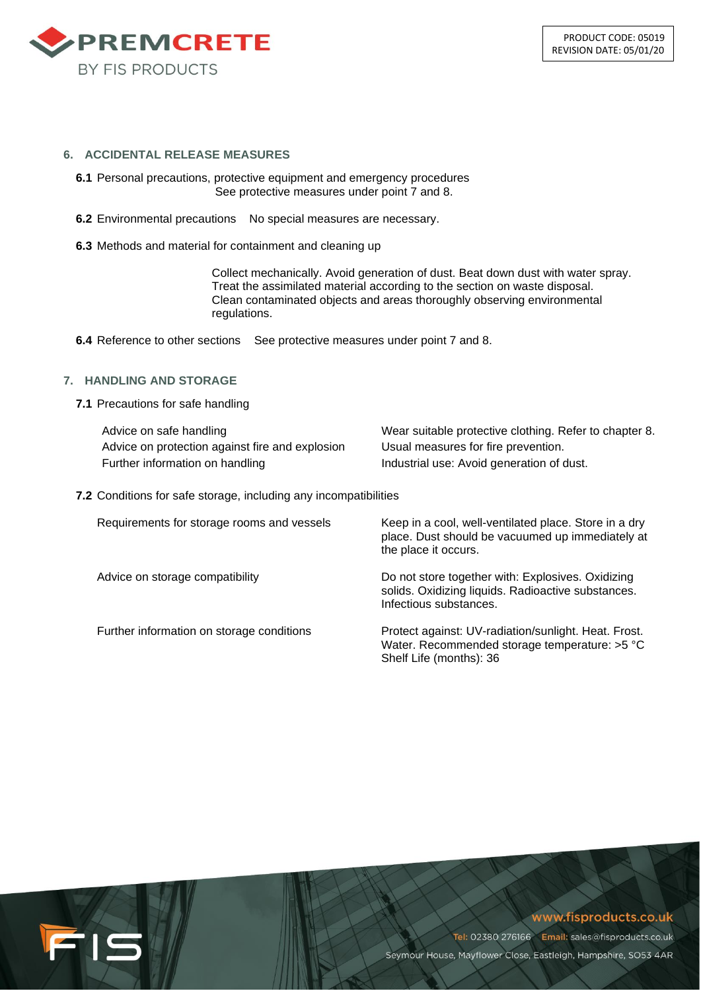

#### **6. ACCIDENTAL RELEASE MEASURES**

**6.1** Personal precautions, protective equipment and emergency procedures See protective measures under point 7 and 8.

- **6.2** Environmental precautions No special measures are necessary.
- **6.3** Methods and material for containment and cleaning up

Collect mechanically. Avoid generation of dust. Beat down dust with water spray. Treat the assimilated material according to the section on waste disposal. Clean contaminated objects and areas thoroughly observing environmental regulations.

**6.4** Reference to other sections See protective measures under point 7 and 8.

## **7. HANDLING AND STORAGE**

**7.1** Precautions for safe handling

Advice on protection against fire and explosion Usual measures for fire prevention. Further information on handling **Industrial use: Avoid generation of dust.** 

Advice on safe handling **Next** Wear suitable protective clothing. Refer to chapter 8.

**7.2** Conditions for safe storage, including any incompatibilities

| Requirements for storage rooms and vessels | Keep in a cool, well-ventilated place. Store in a dry<br>place. Dust should be vacuumed up immediately at<br>the place it occurs. |
|--------------------------------------------|-----------------------------------------------------------------------------------------------------------------------------------|
| Advice on storage compatibility            | Do not store together with: Explosives. Oxidizing<br>solids. Oxidizing liquids. Radioactive substances.<br>Infectious substances. |
| Further information on storage conditions  | Protect against: UV-radiation/sunlight. Heat. Frost.<br>Water. Recommended storage temperature: >5 °C<br>Shelf Life (months): 36  |



www.fisproducts.co.uk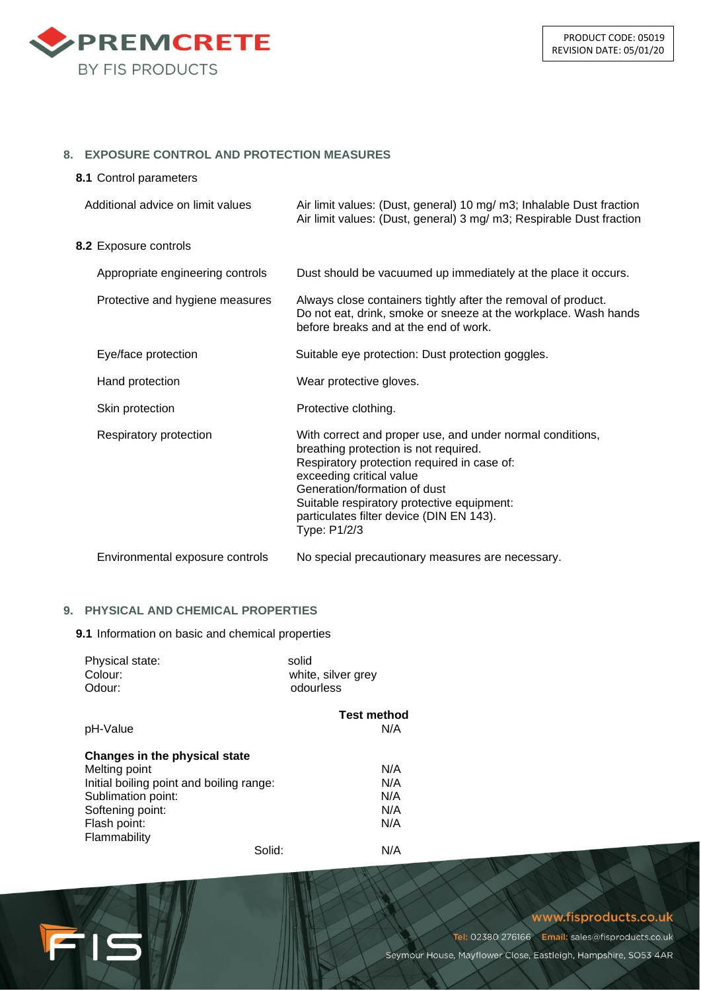

# **8. EXPOSURE CONTROL AND PROTECTION MEASURES**

## **8.1** Control parameters

| Additional advice on limit values | Air limit values: (Dust, general) 10 mg/ m3; Inhalable Dust fraction<br>Air limit values: (Dust, general) 3 mg/ m3; Respirable Dust fraction                                                                                                                                                                            |
|-----------------------------------|-------------------------------------------------------------------------------------------------------------------------------------------------------------------------------------------------------------------------------------------------------------------------------------------------------------------------|
| 8.2 Exposure controls             |                                                                                                                                                                                                                                                                                                                         |
| Appropriate engineering controls  | Dust should be vacuumed up immediately at the place it occurs.                                                                                                                                                                                                                                                          |
| Protective and hygiene measures   | Always close containers tightly after the removal of product.<br>Do not eat, drink, smoke or sneeze at the workplace. Wash hands<br>before breaks and at the end of work.                                                                                                                                               |
| Eye/face protection               | Suitable eye protection: Dust protection goggles.                                                                                                                                                                                                                                                                       |
| Hand protection                   | Wear protective gloves.                                                                                                                                                                                                                                                                                                 |
| Skin protection                   | Protective clothing.                                                                                                                                                                                                                                                                                                    |
| Respiratory protection            | With correct and proper use, and under normal conditions,<br>breathing protection is not required.<br>Respiratory protection required in case of:<br>exceeding critical value<br>Generation/formation of dust<br>Suitable respiratory protective equipment:<br>particulates filter device (DIN EN 143).<br>Type: P1/2/3 |
| Environmental exposure controls   | No special precautionary measures are necessary.                                                                                                                                                                                                                                                                        |

## **9. PHYSICAL AND CHEMICAL PROPERTIES**

FIS

**9.1** Information on basic and chemical properties

| Physical state:<br>Colour:<br>Odour:                                               | solid<br>white, silver grey<br>odourless |
|------------------------------------------------------------------------------------|------------------------------------------|
| pH-Value                                                                           | <b>Test method</b><br>N/A                |
| Changes in the physical state<br>Melting point                                     | N/A                                      |
| Initial boiling point and boiling range:<br>Sublimation point:<br>Softening point: | N/A<br>N/A<br>N/A                        |
| Flash point:<br>Flammability                                                       | N/A                                      |
| Solid:                                                                             | N/A                                      |

www.fisproducts.co.uk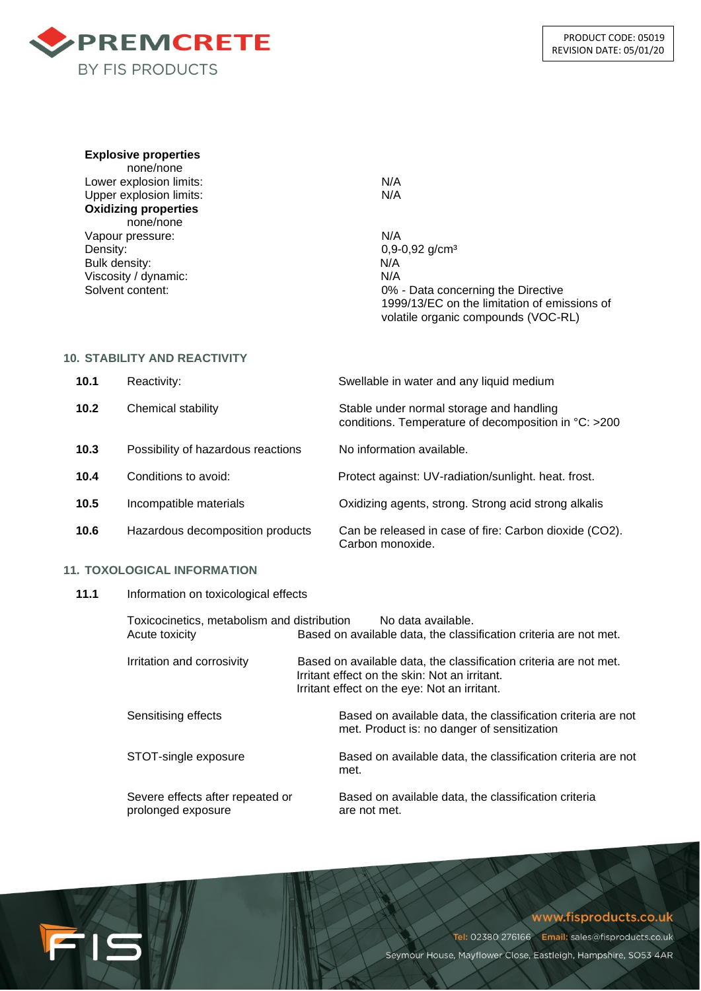

**Explosive properties**  none/none Lower explosion limits: N/A Upper explosion limits: N/A

**Oxidizing properties**  none/none Vapour pressure: N/A Density: 0,9-0,92 g/cm<sup>3</sup> Bulk density: N/A Viscosity / dynamic:<br>
Solvent content: 0%

0% - Data concerning the Directive 1999/13/EC on the limitation of emissions of volatile organic compounds (VOC-RL)

# **10. STABILITY AND REACTIVITY**

| 10.1 | Reactivity:                        | Swellable in water and any liquid medium                                                         |
|------|------------------------------------|--------------------------------------------------------------------------------------------------|
| 10.2 | Chemical stability                 | Stable under normal storage and handling<br>conditions. Temperature of decomposition in °C: >200 |
| 10.3 | Possibility of hazardous reactions | No information available.                                                                        |
| 10.4 | Conditions to avoid:               | Protect against: UV-radiation/sunlight. heat. frost.                                             |
| 10.5 | Incompatible materials             | Oxidizing agents, strong. Strong acid strong alkalis                                             |
| 10.6 | Hazardous decomposition products   | Can be released in case of fire: Carbon dioxide (CO2).<br>Carbon monoxide.                       |

#### **11. TOXOLOGICAL INFORMATION**

FIS

**11.1** Information on toxicological effects

Toxicocinetics, metabolism and distribution No data available. Acute toxicity **Based on available data, the classification criteria are not met.** Irritation and corrosivity Based on available data, the classification criteria are not met. Irritant effect on the skin: Not an irritant. Irritant effect on the eye: Not an irritant. Sensitising effects Based on available data, the classification criteria are not met. Product is: no danger of sensitization

STOT-single exposure Based on available data, the classification criteria are not met.

prolonged exposure are not met.

Severe effects after repeated or Based on available data, the classification criteria

www.fisproducts.co.uk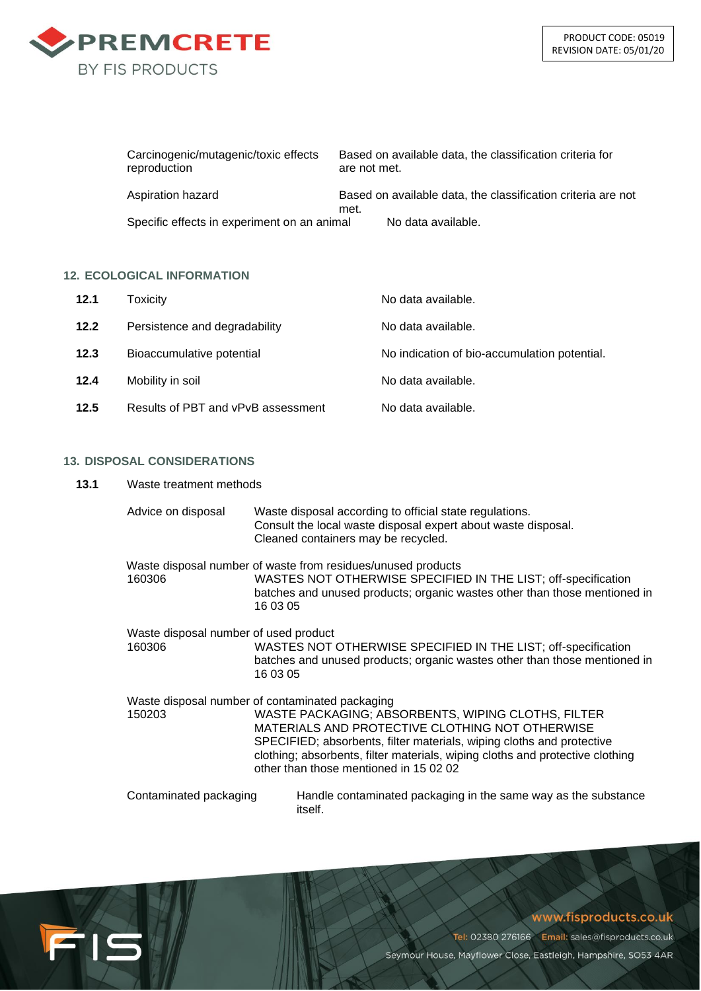

| Carcinogenic/mutagenic/toxic effects<br>reproduction | Based on available data, the classification criteria for<br>are not met. |
|------------------------------------------------------|--------------------------------------------------------------------------|
| Aspiration hazard                                    | Based on available data, the classification criteria are not<br>met.     |
| Specific effects in experiment on an animal          | No data available.                                                       |

## **12. ECOLOGICAL INFORMATION**

| 12.1 | Toxicity                           | No data available.                           |
|------|------------------------------------|----------------------------------------------|
| 12.2 | Persistence and degradability      | No data available.                           |
| 12.3 | Bioaccumulative potential          | No indication of bio-accumulation potential. |
| 12.4 | Mobility in soil                   | No data available.                           |
| 12.5 | Results of PBT and vPvB assessment | No data available.                           |

# **13. DISPOSAL CONSIDERATIONS**

FIS

| Advice on disposal                                        |          | Waste disposal according to official state regulations.<br>Consult the local waste disposal expert about waste disposal.<br>Cleaned containers may be recycled.                                                                                                                                           |
|-----------------------------------------------------------|----------|-----------------------------------------------------------------------------------------------------------------------------------------------------------------------------------------------------------------------------------------------------------------------------------------------------------|
| 160306                                                    | 16 03 05 | Waste disposal number of waste from residues/unused products<br>WASTES NOT OTHERWISE SPECIFIED IN THE LIST; off-specification<br>batches and unused products; organic wastes other than those mentioned in                                                                                                |
| Waste disposal number of used product<br>160306           | 16 03 05 | WASTES NOT OTHERWISE SPECIFIED IN THE LIST; off-specification<br>batches and unused products; organic wastes other than those mentioned in                                                                                                                                                                |
| Waste disposal number of contaminated packaging<br>150203 |          | WASTE PACKAGING; ABSORBENTS, WIPING CLOTHS, FILTER<br>MATERIALS AND PROTECTIVE CLOTHING NOT OTHERWISE<br>SPECIFIED; absorbents, filter materials, wiping cloths and protective<br>clothing; absorbents, filter materials, wiping cloths and protective clothing<br>other than those mentioned in 15 02 02 |
| Contaminated packaging                                    |          | Handle contaminated packaging in the same way as the substance<br>itself.                                                                                                                                                                                                                                 |

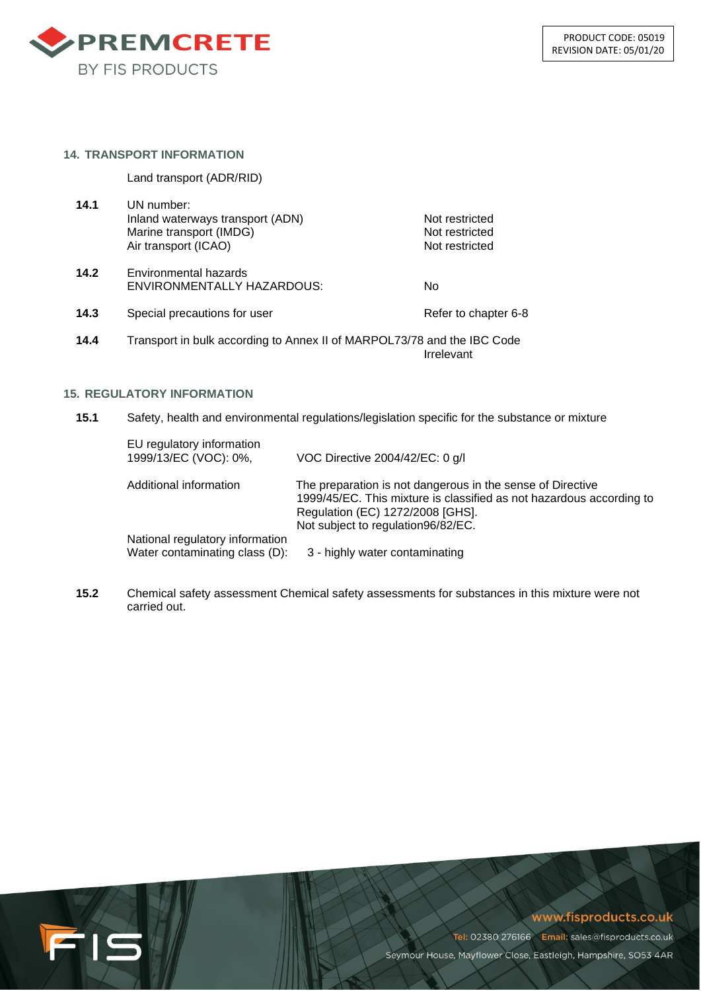

#### **14. TRANSPORT INFORMATION**

Land transport (ADR/RID)

| 14.1 | UN number:                        |                |  |  |
|------|-----------------------------------|----------------|--|--|
|      | Inland waterways transport (ADN)  | Not restricted |  |  |
|      | Marine transport (IMDG)           | Not restricted |  |  |
|      | Air transport (ICAO)              | Not restricted |  |  |
| 14.2 | Environmental hazards             |                |  |  |
|      | <b>ENVIRONMENTALLY HAZARDOUS:</b> | N٥             |  |  |

- **14.3** Special precautions for user Refer to chapter 6-8
- **14.4** Transport in bulk according to Annex II of MARPOL73/78 and the IBC Code Irrelevant

### **15. REGULATORY INFORMATION**

**15.1** Safety, health and environmental regulations/legislation specific for the substance or mixture

| EU regulatory information<br>1999/13/EC (VOC): 0%,                | VOC Directive 2004/42/EC: 0 g/l                                                                                                                                                                              |
|-------------------------------------------------------------------|--------------------------------------------------------------------------------------------------------------------------------------------------------------------------------------------------------------|
| Additional information                                            | The preparation is not dangerous in the sense of Directive<br>1999/45/EC. This mixture is classified as not hazardous according to<br>Regulation (EC) 1272/2008 [GHS].<br>Not subject to regulation96/82/EC. |
| National regulatory information<br>Water contaminating class (D): | 3 - highly water contaminating                                                                                                                                                                               |

**15.2** Chemical safety assessment Chemical safety assessments for substances in this mixture were not carried out.



www.fisproducts.co.uk